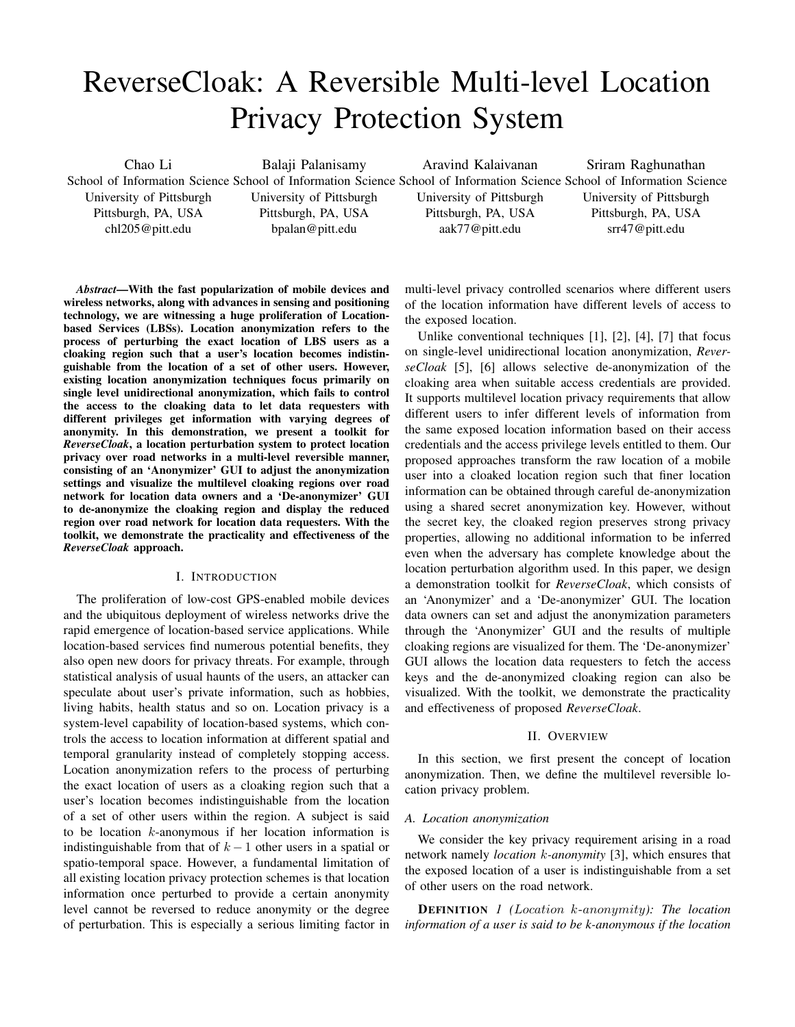# ReverseCloak: A Reversible Multi-level Location Privacy Protection System

Chao Li School of Information Science School of Information Science School of Information Science School of Information Science University of Pittsburgh Pittsburgh, PA, USA chl205@pitt.edu Balaji Palanisamy University of Pittsburgh Pittsburgh, PA, USA bpalan@pitt.edu Aravind Kalaivanan University of Pittsburgh Pittsburgh, PA, USA aak77@pitt.edu Sriram Raghunathan University of Pittsburgh Pittsburgh, PA, USA srr47@pitt.edu

*Abstract*—With the fast popularization of mobile devices and wireless networks, along with advances in sensing and positioning technology, we are witnessing a huge proliferation of Locationbased Services (LBSs). Location anonymization refers to the process of perturbing the exact location of LBS users as a cloaking region such that a user's location becomes indistinguishable from the location of a set of other users. However, existing location anonymization techniques focus primarily on single level unidirectional anonymization, which fails to control the access to the cloaking data to let data requesters with different privileges get information with varying degrees of anonymity. In this demonstration, we present a toolkit for *ReverseCloak*, a location perturbation system to protect location privacy over road networks in a multi-level reversible manner, consisting of an 'Anonymizer' GUI to adjust the anonymization settings and visualize the multilevel cloaking regions over road network for location data owners and a 'De-anonymizer' GUI to de-anonymize the cloaking region and display the reduced region over road network for location data requesters. With the toolkit, we demonstrate the practicality and effectiveness of the *ReverseCloak* approach.

## I. INTRODUCTION

The proliferation of low-cost GPS-enabled mobile devices and the ubiquitous deployment of wireless networks drive the rapid emergence of location-based service applications. While location-based services find numerous potential benefits, they also open new doors for privacy threats. For example, through statistical analysis of usual haunts of the users, an attacker can speculate about user's private information, such as hobbies, living habits, health status and so on. Location privacy is a system-level capability of location-based systems, which controls the access to location information at different spatial and temporal granularity instead of completely stopping access. Location anonymization refers to the process of perturbing the exact location of users as a cloaking region such that a user's location becomes indistinguishable from the location of a set of other users within the region. A subject is said to be location  $k$ -anonymous if her location information is indistinguishable from that of  $k-1$  other users in a spatial or spatio-temporal space. However, a fundamental limitation of all existing location privacy protection schemes is that location information once perturbed to provide a certain anonymity level cannot be reversed to reduce anonymity or the degree of perturbation. This is especially a serious limiting factor in

multi-level privacy controlled scenarios where different users of the location information have different levels of access to the exposed location.

Unlike conventional techniques [1], [2], [4], [7] that focus on single-level unidirectional location anonymization, *ReverseCloak* [5], [6] allows selective de-anonymization of the cloaking area when suitable access credentials are provided. It supports multilevel location privacy requirements that allow different users to infer different levels of information from the same exposed location information based on their access credentials and the access privilege levels entitled to them. Our proposed approaches transform the raw location of a mobile user into a cloaked location region such that finer location information can be obtained through careful de-anonymization using a shared secret anonymization key. However, without the secret key, the cloaked region preserves strong privacy properties, allowing no additional information to be inferred even when the adversary has complete knowledge about the location perturbation algorithm used. In this paper, we design a demonstration toolkit for *ReverseCloak*, which consists of an 'Anonymizer' and a 'De-anonymizer' GUI. The location data owners can set and adjust the anonymization parameters through the 'Anonymizer' GUI and the results of multiple cloaking regions are visualized for them. The 'De-anonymizer' GUI allows the location data requesters to fetch the access keys and the de-anonymized cloaking region can also be visualized. With the toolkit, we demonstrate the practicality and effectiveness of proposed *ReverseCloak*.

#### II. OVERVIEW

In this section, we first present the concept of location anonymization. Then, we define the multilevel reversible location privacy problem.

#### *A. Location anonymization*

We consider the key privacy requirement arising in a road network namely *location* k*-anonymity* [3], which ensures that the exposed location of a user is indistinguishable from a set of other users on the road network.

DEFINITION *1 (*Location k-anonymity*): The location information of a user is said to be k-anonymous if the location*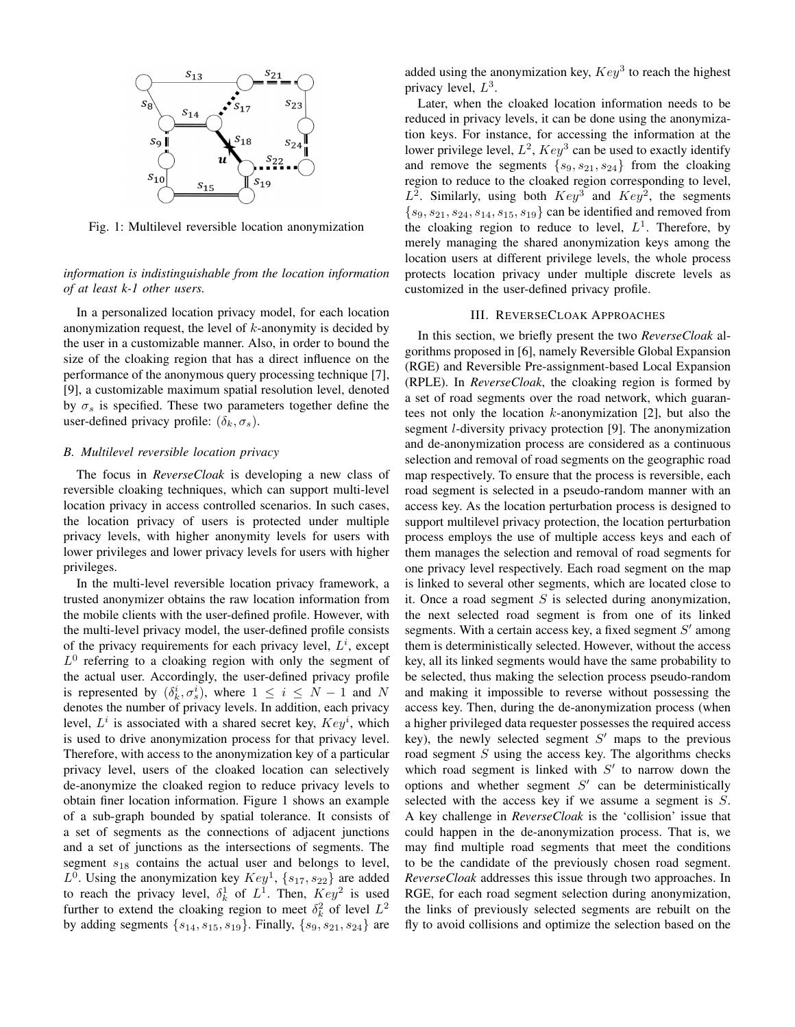

Fig. 1: Multilevel reversible location anonymization

*information is indistinguishable from the location information of at least k-1 other users.*

In a personalized location privacy model, for each location anonymization request, the level of  $k$ -anonymity is decided by the user in a customizable manner. Also, in order to bound the size of the cloaking region that has a direct influence on the performance of the anonymous query processing technique [7], [9], a customizable maximum spatial resolution level, denoted by  $\sigma_s$  is specified. These two parameters together define the user-defined privacy profile:  $(\delta_k, \sigma_s)$ .

### *B. Multilevel reversible location privacy*

The focus in *ReverseCloak* is developing a new class of reversible cloaking techniques, which can support multi-level location privacy in access controlled scenarios. In such cases, the location privacy of users is protected under multiple privacy levels, with higher anonymity levels for users with lower privileges and lower privacy levels for users with higher privileges.

In the multi-level reversible location privacy framework, a trusted anonymizer obtains the raw location information from the mobile clients with the user-defined profile. However, with the multi-level privacy model, the user-defined profile consists of the privacy requirements for each privacy level,  $L^i$ , except  $L^0$  referring to a cloaking region with only the segment of the actual user. Accordingly, the user-defined privacy profile is represented by  $(\delta_k^i, \sigma_s^i)$ , where  $1 \le i \le N - 1$  and N denotes the number of privacy levels. In addition, each privacy level,  $L^i$  is associated with a shared secret key,  $Key^i$ , which is used to drive anonymization process for that privacy level. Therefore, with access to the anonymization key of a particular privacy level, users of the cloaked location can selectively de-anonymize the cloaked region to reduce privacy levels to obtain finer location information. Figure 1 shows an example of a sub-graph bounded by spatial tolerance. It consists of a set of segments as the connections of adjacent junctions and a set of junctions as the intersections of segments. The segment  $s_{18}$  contains the actual user and belongs to level,  $L^0$ . Using the anonymization key  $Key^1$ ,  $\{s_{17}, s_{22}\}$  are added to reach the privacy level,  $\delta_k^1$  of  $L^1$ . Then,  $Key^2$  is used further to extend the cloaking region to meet  $\delta_k^2$  of level  $L^2$ by adding segments  $\{s_{14}, s_{15}, s_{19}\}$ . Finally,  $\{s_9, s_{21}, s_{24}\}$  are added using the anonymization key,  $Key^3$  to reach the highest privacy level,  $L^3$ .

Later, when the cloaked location information needs to be reduced in privacy levels, it can be done using the anonymization keys. For instance, for accessing the information at the lower privilege level,  $L^2$ ,  $Key^3$  can be used to exactly identify and remove the segments  $\{s_9, s_{21}, s_{24}\}$  from the cloaking region to reduce to the cloaked region corresponding to level,  $L^2$ . Similarly, using both  $Key^3$  and  $Key^2$ , the segments  ${s_9, s_{21}, s_{24}, s_{14}, s_{15}, s_{19}}$  can be identified and removed from the cloaking region to reduce to level,  $L^1$ . Therefore, by merely managing the shared anonymization keys among the location users at different privilege levels, the whole process protects location privacy under multiple discrete levels as customized in the user-defined privacy profile.

#### III. REVERSECLOAK APPROACHES

In this section, we briefly present the two *ReverseCloak* algorithms proposed in [6], namely Reversible Global Expansion (RGE) and Reversible Pre-assignment-based Local Expansion (RPLE). In *ReverseCloak*, the cloaking region is formed by a set of road segments over the road network, which guarantees not only the location  $k$ -anonymization [2], but also the segment *l*-diversity privacy protection [9]. The anonymization and de-anonymization process are considered as a continuous selection and removal of road segments on the geographic road map respectively. To ensure that the process is reversible, each road segment is selected in a pseudo-random manner with an access key. As the location perturbation process is designed to support multilevel privacy protection, the location perturbation process employs the use of multiple access keys and each of them manages the selection and removal of road segments for one privacy level respectively. Each road segment on the map is linked to several other segments, which are located close to it. Once a road segment  $S$  is selected during anonymization, the next selected road segment is from one of its linked segments. With a certain access key, a fixed segment  $S'$  among them is deterministically selected. However, without the access key, all its linked segments would have the same probability to be selected, thus making the selection process pseudo-random and making it impossible to reverse without possessing the access key. Then, during the de-anonymization process (when a higher privileged data requester possesses the required access key), the newly selected segment  $S'$  maps to the previous road segment  $S$  using the access key. The algorithms checks which road segment is linked with  $S'$  to narrow down the options and whether segment  $S'$  can be deterministically selected with the access key if we assume a segment is S. A key challenge in *ReverseCloak* is the 'collision' issue that could happen in the de-anonymization process. That is, we may find multiple road segments that meet the conditions to be the candidate of the previously chosen road segment. *ReverseCloak* addresses this issue through two approaches. In RGE, for each road segment selection during anonymization, the links of previously selected segments are rebuilt on the fly to avoid collisions and optimize the selection based on the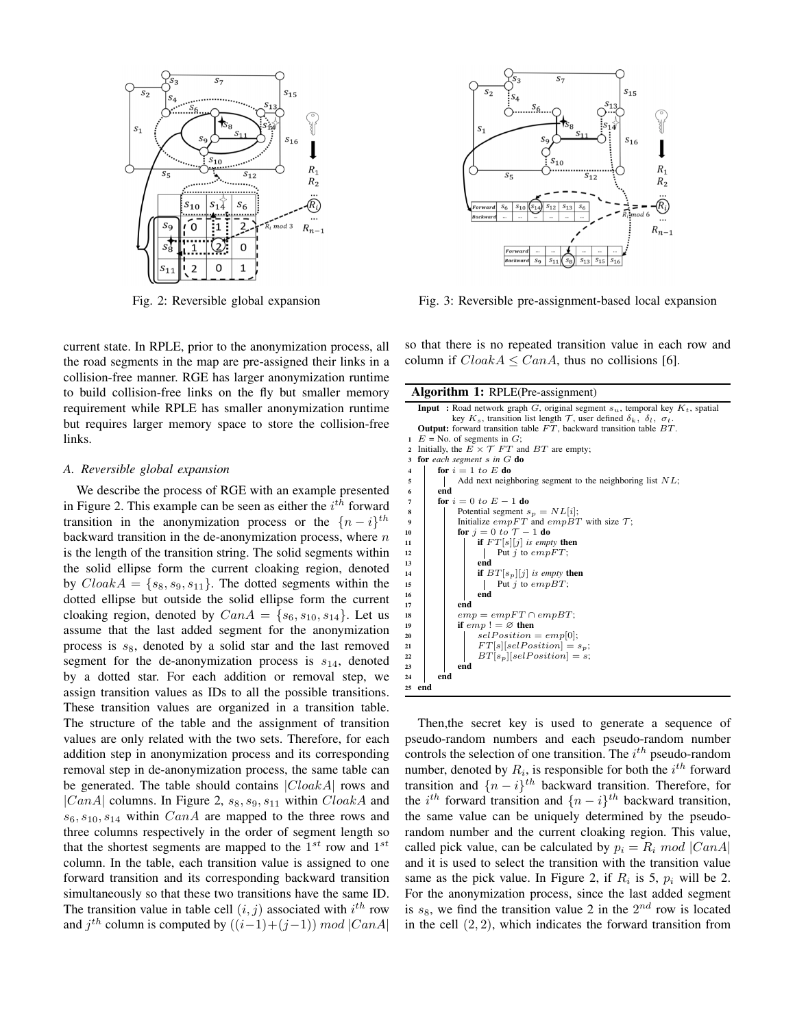

Fig. 2: Reversible global expansion

current state. In RPLE, prior to the anonymization process, all the road segments in the map are pre-assigned their links in a collision-free manner. RGE has larger anonymization runtime to build collision-free links on the fly but smaller memory requirement while RPLE has smaller anonymization runtime but requires larger memory space to store the collision-free links.

#### *A. Reversible global expansion*

We describe the process of RGE with an example presented in Figure 2. This example can be seen as either the  $i^{th}$  forward transition in the anonymization process or the  $\{n-i\}$ <sup>th</sup> backward transition in the de-anonymization process, where  $n$ is the length of the transition string. The solid segments within the solid ellipse form the current cloaking region, denoted by  $CloudA = \{s_8, s_9, s_{11}\}.$  The dotted segments within the dotted ellipse but outside the solid ellipse form the current cloaking region, denoted by  $CanA = \{s_6, s_{10}, s_{14}\}\$ . Let us assume that the last added segment for the anonymization process is  $s_8$ , denoted by a solid star and the last removed segment for the de-anonymization process is  $s_{14}$ , denoted by a dotted star. For each addition or removal step, we assign transition values as IDs to all the possible transitions. These transition values are organized in a transition table. The structure of the table and the assignment of transition values are only related with the two sets. Therefore, for each addition step in anonymization process and its corresponding removal step in de-anonymization process, the same table can be generated. The table should contains  $|CloakA|$  rows and |CanA| columns. In Figure 2,  $s_8$ ,  $s_9$ ,  $s_{11}$  within CloakA and  $s_6, s_{10}, s_{14}$  within  $CanA$  are mapped to the three rows and three columns respectively in the order of segment length so that the shortest segments are mapped to the  $1^{st}$  row and  $1^{st}$ column. In the table, each transition value is assigned to one forward transition and its corresponding backward transition simultaneously so that these two transitions have the same ID. The transition value in table cell  $(i, j)$  associated with  $i<sup>th</sup>$  row and  $j^{th}$  column is computed by  $((i-1)+(j-1)) \mod |CanA|$ 



Fig. 3: Reversible pre-assignment-based local expansion

so that there is no repeated transition value in each row and column if  $CloudA \leq CanA$ , thus no collisions [6].

Algorithm 1: RPLE(Pre-assignment) **Input** : Road network graph  $G$ , original segment  $s_u$ , temporal key  $K_t$ , spatial key  $K_s$ , transition list length  $\mathcal T$ , user defined  $\delta_k$ ,  $\delta_l$ ,  $\sigma_t$ Output: forward transition table  $\overline{FT}$ , backward transition table  $\overline{BT}$ . 1  $E = \text{No. of segments in } G$ ;<br>2 Initially, the  $E \times \mathcal{T} FT$  and  $BT$  are empty; 3 for *each segment* s *in* G do 4 | for  $i = 1$  to E do  $5$  | Add next neighboring segment to the neighboring list  $NL$ ; 6 end 7 for  $i = 0$  to  $E - 1$  do 8 | Potential segment  $s_p = NL[i]$ ; 9 Initialize  $empFT$  and  $empBT$  with size T;<br>
10 for  $j = 0$  to  $T - 1$  do 11 **if**  $FT[s][j]$  *is empty* then<br>  $\begin{array}{|c|c|c|c|c|} \hline \text{if } FT[s][j] \text{ is empty then} \ \hline \end{array}$ Put  $j$  to  $empFT$ ; 13 | | | end 14 **if**  $BT[s_p][j]$  *is empty* then<br>15 **if**  $DT[s_p][j]$  *is empBT*; Put  $j$  to  $empBT$ ; 16 | | | end 17 **end** 18  $\vert$  emp = empFT  $\cap$  empBT; 19 if  $emp! = \varnothing$  then 20  $\vert$   $\vert$   $\vert$   $selfosition = emp[0];$ 21 | |  $FT[s][selfosition] = s_p;$ 22  $BT[s_p][selfosition] = s;$ <br>23 end end 24 end 25 end

Then,the secret key is used to generate a sequence of pseudo-random numbers and each pseudo-random number controls the selection of one transition. The  $i^{th}$  pseudo-random number, denoted by  $R_i$ , is responsible for both the  $i^{th}$  forward transition and  $\{n-i\}$ <sup>th</sup> backward transition. Therefore, for the i<sup>th</sup> forward transition and  $\{n-i\}$ <sup>th</sup> backward transition, the same value can be uniquely determined by the pseudorandom number and the current cloaking region. This value, called pick value, can be calculated by  $p_i = R_i \text{ mod } |CanA|$ and it is used to select the transition with the transition value same as the pick value. In Figure 2, if  $R_i$  is 5,  $p_i$  will be 2. For the anonymization process, since the last added segment is  $s_8$ , we find the transition value 2 in the  $2^{nd}$  row is located in the cell  $(2, 2)$ , which indicates the forward transition from